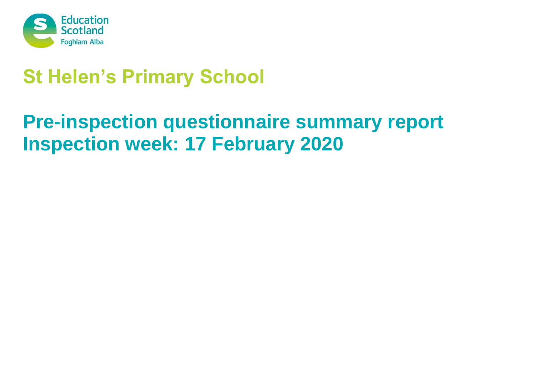

# **St Helen's Primary School**

# **Pre-inspection questionnaire summary report Inspection week: 17 February 2020**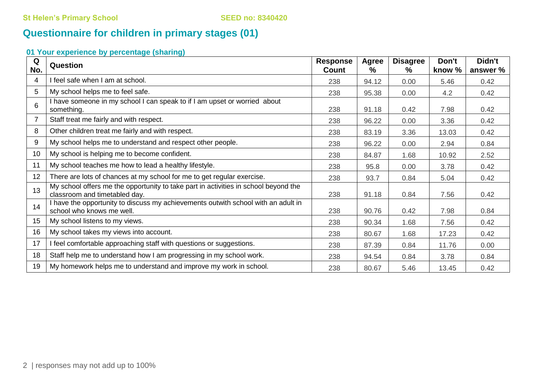# **Questionnaire for children in primary stages (01)**

# **01 Your experience by percentage (sharing)**

| Q<br>No. | <b>Question</b>                                                                                                      | <b>Response</b><br>Count | <b>Agree</b><br>% | <b>Disagree</b><br>% | Don't<br>know % | Didn't<br>answer % |
|----------|----------------------------------------------------------------------------------------------------------------------|--------------------------|-------------------|----------------------|-----------------|--------------------|
| 4        | I feel safe when I am at school.                                                                                     | 238                      | 94.12             | 0.00                 | 5.46            | 0.42               |
| 5        | My school helps me to feel safe.                                                                                     | 238                      | 95.38             | 0.00                 | 4.2             | 0.42               |
| 6        | I have someone in my school I can speak to if I am upset or worried about<br>something.                              | 238                      | 91.18             | 0.42                 | 7.98            | 0.42               |
| 7        | Staff treat me fairly and with respect.                                                                              | 238                      | 96.22             | 0.00                 | 3.36            | 0.42               |
| 8        | Other children treat me fairly and with respect.                                                                     | 238                      | 83.19             | 3.36                 | 13.03           | 0.42               |
| 9        | My school helps me to understand and respect other people.                                                           | 238                      | 96.22             | 0.00                 | 2.94            | 0.84               |
| 10       | My school is helping me to become confident.                                                                         | 238                      | 84.87             | 1.68                 | 10.92           | 2.52               |
| 11       | My school teaches me how to lead a healthy lifestyle.                                                                | 238                      | 95.8              | 0.00                 | 3.78            | 0.42               |
| 12       | There are lots of chances at my school for me to get regular exercise.                                               | 238                      | 93.7              | 0.84                 | 5.04            | 0.42               |
| 13       | My school offers me the opportunity to take part in activities in school beyond the<br>classroom and timetabled day. | 238                      | 91.18             | 0.84                 | 7.56            | 0.42               |
| 14       | I have the opportunity to discuss my achievements outwith school with an adult in<br>school who knows me well.       | 238                      | 90.76             | 0.42                 | 7.98            | 0.84               |
| 15       | My school listens to my views.                                                                                       | 238                      | 90.34             | 1.68                 | 7.56            | 0.42               |
| 16       | My school takes my views into account.                                                                               | 238                      | 80.67             | 1.68                 | 17.23           | 0.42               |
| 17       | I feel comfortable approaching staff with questions or suggestions.                                                  | 238                      | 87.39             | 0.84                 | 11.76           | 0.00               |
| 18       | Staff help me to understand how I am progressing in my school work.                                                  | 238                      | 94.54             | 0.84                 | 3.78            | 0.84               |
| 19       | My homework helps me to understand and improve my work in school.                                                    | 238                      | 80.67             | 5.46                 | 13.45           | 0.42               |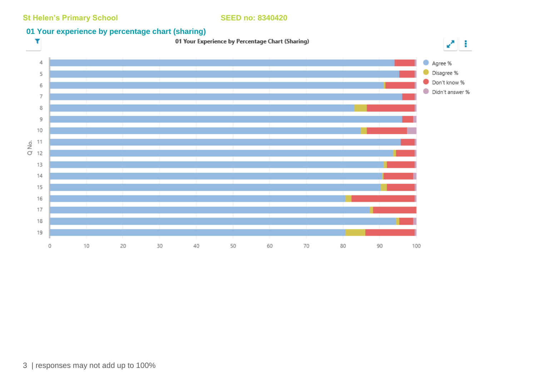**St Helen's Primary School SEED no: 8340420** 

## **01 Your experience by percentage chart (sharing)**

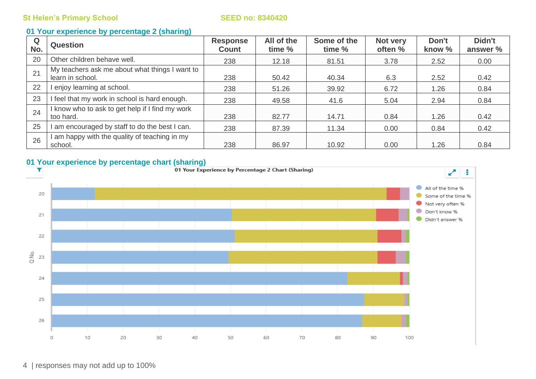### **01 Your experience by percentage 2 (sharing)**

| Q<br>No. | <b>Question</b>                                                    | <b>Response</b><br><b>Count</b> | All of the<br>time % | Some of the<br>time % | Not very<br>often % | Don't<br>know % | Didn't<br>answer % |
|----------|--------------------------------------------------------------------|---------------------------------|----------------------|-----------------------|---------------------|-----------------|--------------------|
| 20       | Other children behave well.                                        | 238                             | 12.18                | 81.51                 | 3.78                | 2.52            | 0.00               |
| 21       | My teachers ask me about what things I want to<br>learn in school. | 238                             | 50.42                | 40.34                 | 6.3                 | 2.52            | 0.42               |
| 22       | enjoy learning at school.                                          | 238                             | 51.26                | 39.92                 | 6.72                | 1.26            | 0.84               |
| 23       | I feel that my work in school is hard enough.                      | 238                             | 49.58                | 41.6                  | 5.04                | 2.94            | 0.84               |
| 24       | I know who to ask to get help if I find my work<br>too hard.       | 238                             | 82.77                | 14.71                 | 0.84                | 1.26            | 0.42               |
| 25       | am encouraged by staff to do the best I can.                       | 238                             | 87.39                | 11.34                 | 0.00                | 0.84            | 0.42               |
| 26       | am happy with the quality of teaching in my<br>school.             | 238                             | 86.97                | 10.92                 | 0.00                | 1.26            | 0.84               |

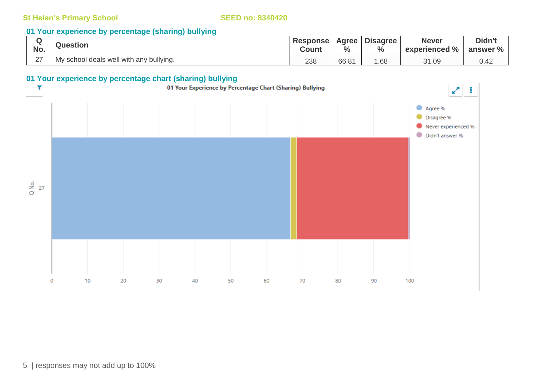### **01 Your experience by percentage (sharing) bullying**

| No.    | <b>Question</b>                         | <b>Response</b><br><b>Count</b> | Agree  <br>$\frac{6}{6}$ | <b>Disagree</b><br>$\frac{6}{6}$ | <b>Never</b><br>experienced % | Didn't<br>answer % |
|--------|-----------------------------------------|---------------------------------|--------------------------|----------------------------------|-------------------------------|--------------------|
| $\sim$ | My school deals well with any bullying. | 238                             | 66.81                    | .68                              | 31.09                         | ∪.4∠               |

# **01 Your experience by percentage chart (sharing) bullying**

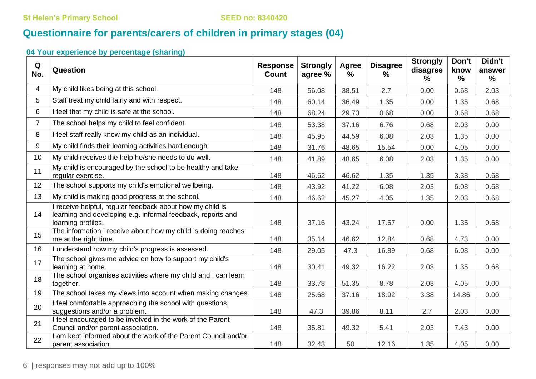# **Questionnaire for parents/carers of children in primary stages (04)**

# **04 Your experience by percentage (sharing)**

| Q<br>No.       | Question                                                                                                                                       | <b>Response</b><br><b>Count</b> | <b>Strongly</b><br>agree % | Agree<br>% | <b>Disagree</b><br>% | <b>Strongly</b><br>disagree<br>$\%$ | Don't<br>know<br>$\%$ | Didn't<br>answer<br>$\%$ |
|----------------|------------------------------------------------------------------------------------------------------------------------------------------------|---------------------------------|----------------------------|------------|----------------------|-------------------------------------|-----------------------|--------------------------|
| 4              | My child likes being at this school.                                                                                                           | 148                             | 56.08                      | 38.51      | 2.7                  | 0.00                                | 0.68                  | 2.03                     |
| 5              | Staff treat my child fairly and with respect.                                                                                                  | 148                             | 60.14                      | 36.49      | 1.35                 | 0.00                                | 1.35                  | 0.68                     |
| 6              | I feel that my child is safe at the school.                                                                                                    | 148                             | 68.24                      | 29.73      | 0.68                 | 0.00                                | 0.68                  | 0.68                     |
| $\overline{7}$ | The school helps my child to feel confident.                                                                                                   | 148                             | 53.38                      | 37.16      | 6.76                 | 0.68                                | 2.03                  | 0.00                     |
| 8              | I feel staff really know my child as an individual.                                                                                            | 148                             | 45.95                      | 44.59      | 6.08                 | 2.03                                | 1.35                  | 0.00                     |
| 9              | My child finds their learning activities hard enough.                                                                                          | 148                             | 31.76                      | 48.65      | 15.54                | 0.00                                | 4.05                  | 0.00                     |
| 10             | My child receives the help he/she needs to do well.                                                                                            | 148                             | 41.89                      | 48.65      | 6.08                 | 2.03                                | 1.35                  | 0.00                     |
| 11             | My child is encouraged by the school to be healthy and take<br>regular exercise.                                                               | 148                             | 46.62                      | 46.62      | 1.35                 | 1.35                                | 3.38                  | 0.68                     |
| 12             | The school supports my child's emotional wellbeing.                                                                                            | 148                             | 43.92                      | 41.22      | 6.08                 | 2.03                                | 6.08                  | 0.68                     |
| 13             | My child is making good progress at the school.                                                                                                | 148                             | 46.62                      | 45.27      | 4.05                 | 1.35                                | 2.03                  | 0.68                     |
| 14             | I receive helpful, regular feedback about how my child is<br>learning and developing e.g. informal feedback, reports and<br>learning profiles. | 148                             | 37.16                      | 43.24      | 17.57                | 0.00                                | 1.35                  | 0.68                     |
| 15             | The information I receive about how my child is doing reaches<br>me at the right time.                                                         | 148                             | 35.14                      | 46.62      | 12.84                | 0.68                                | 4.73                  | 0.00                     |
| 16             | I understand how my child's progress is assessed.                                                                                              | 148                             | 29.05                      | 47.3       | 16.89                | 0.68                                | 6.08                  | 0.00                     |
| 17             | The school gives me advice on how to support my child's<br>learning at home.                                                                   | 148                             | 30.41                      | 49.32      | 16.22                | 2.03                                | 1.35                  | 0.68                     |
| 18             | The school organises activities where my child and I can learn<br>together.                                                                    | 148                             | 33.78                      | 51.35      | 8.78                 | 2.03                                | 4.05                  | 0.00                     |
| 19             | The school takes my views into account when making changes.                                                                                    | 148                             | 25.68                      | 37.16      | 18.92                | 3.38                                | 14.86                 | 0.00                     |
| 20             | I feel comfortable approaching the school with questions,<br>suggestions and/or a problem.                                                     | 148                             | 47.3                       | 39.86      | 8.11                 | 2.7                                 | 2.03                  | 0.00                     |
| 21             | I feel encouraged to be involved in the work of the Parent<br>Council and/or parent association.                                               | 148                             | 35.81                      | 49.32      | 5.41                 | 2.03                                | 7.43                  | 0.00                     |
| 22             | I am kept informed about the work of the Parent Council and/or<br>parent association.                                                          | 148                             | 32.43                      | 50         | 12.16                | 1.35                                | 4.05                  | 0.00                     |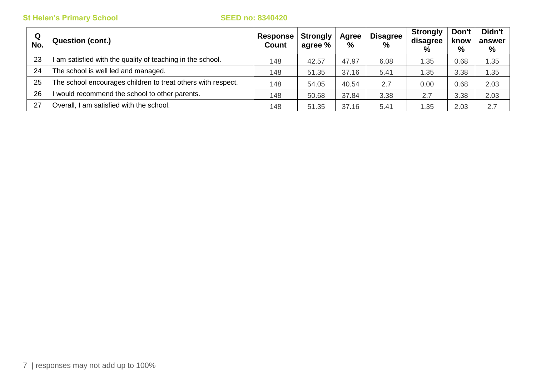| Q<br>No. | <b>Question (cont.)</b>                                      | Response  <br>Count | <b>Strongly</b><br>agree % | Agree<br>% | <b>Disagree</b><br>$\%$ | <b>Strongly</b><br>disagree<br>$\%$ | Don't<br>know<br>% | Didn't<br>answer<br>% |
|----------|--------------------------------------------------------------|---------------------|----------------------------|------------|-------------------------|-------------------------------------|--------------------|-----------------------|
| 23       | am satisfied with the quality of teaching in the school.     | 148                 | 42.57                      | 47.97      | 6.08                    | 1.35                                | 0.68               | 1.35                  |
| 24       | The school is well led and managed.                          | 148                 | 51.35                      | 37.16      | 5.41                    | 1.35                                | 3.38               | 1.35                  |
| 25       | The school encourages children to treat others with respect. | 148                 | 54.05                      | 40.54      | 2.7                     | 0.00                                | 0.68               | 2.03                  |
| 26       | would recommend the school to other parents.                 | 148                 | 50.68                      | 37.84      | 3.38                    | 2.7                                 | 3.38               | 2.03                  |
| 27       | Overall, I am satisfied with the school.                     | 148                 | 51.35                      | 37.16      | 5.41                    | 1.35                                | 2.03               | 2.7                   |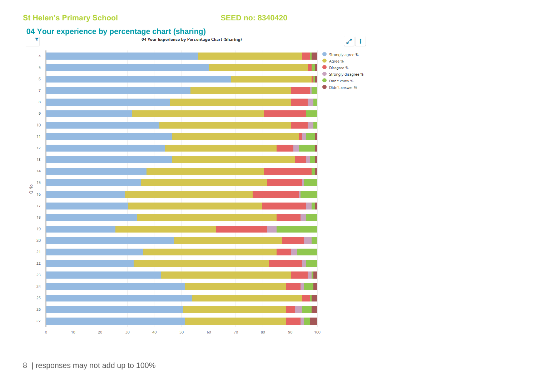# **04 Your experience by percentage chart (sharing)**<br>T a Your Experience by Percentage Chart (Sharing)

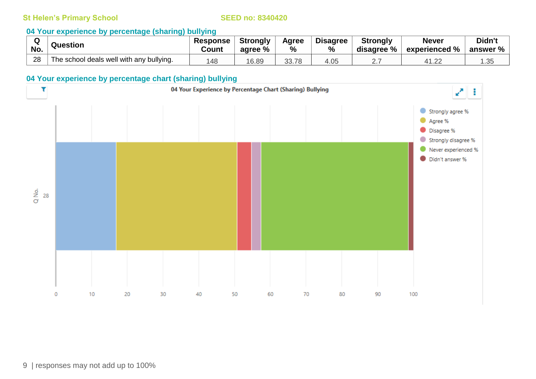### **04 Your experience by percentage (sharing) bullying**

|     | Question                                 | <b>Response</b> | <b>Strongly</b> | Agree | <b>Disagree</b> | <b>Strongly</b> | <b>Never</b>  | Didn't         |
|-----|------------------------------------------|-----------------|-----------------|-------|-----------------|-----------------|---------------|----------------|
| No. |                                          | Count           | agree %         | %     | $\frac{0}{0}$   | disagree %      | experienced % | answer $%$ $ $ |
| 28  | The school deals well with any bullying. | 48 ا            | 16.89           | 33.78 | 4.05            | <u>.</u>        | 41.22         | . . ٽ          |

### **04 Your experience by percentage chart (sharing) bullying**

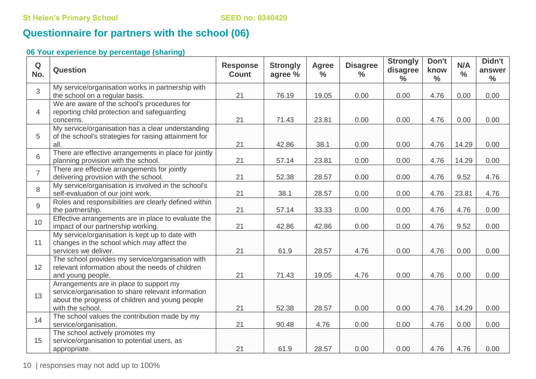# **Questionnaire for partners with the school (06)**

# **06 Your experience by percentage (sharing)**

| Q<br>No.       | Question                                                                                                                                                             | <b>Response</b><br><b>Count</b> | <b>Strongly</b><br>agree % | <b>Agree</b><br>$\frac{0}{0}$ | <b>Disagree</b><br>$\frac{0}{0}$ | <b>Strongly</b><br>disagree<br>$\frac{0}{0}$ | Don't<br>know<br>$\frac{0}{0}$ | N/A<br>$\frac{0}{0}$ | Didn't<br>answer<br>$\frac{0}{0}$ |
|----------------|----------------------------------------------------------------------------------------------------------------------------------------------------------------------|---------------------------------|----------------------------|-------------------------------|----------------------------------|----------------------------------------------|--------------------------------|----------------------|-----------------------------------|
| 3              | My service/organisation works in partnership with<br>the school on a regular basis.                                                                                  | 21                              | 76.19                      | 19.05                         | 0.00                             | 0.00                                         | 4.76                           | 0.00                 | 0.00                              |
| $\overline{4}$ | We are aware of the school's procedures for<br>reporting child protection and safeguarding<br>concerns.                                                              | 21                              | 71.43                      | 23.81                         | 0.00                             | 0.00                                         | 4.76                           | 0.00                 | 0.00                              |
| 5              | My service/organisation has a clear understanding<br>of the school's strategies for raising attainment for<br>all.                                                   | 21                              | 42.86                      | 38.1                          | 0.00                             | 0.00                                         | 4.76                           | 14.29                | 0.00                              |
| 6              | There are effective arrangements in place for jointly<br>planning provision with the school.                                                                         | 21                              | 57.14                      | 23.81                         | 0.00                             | 0.00                                         | 4.76                           | 14.29                | 0.00                              |
| $\overline{7}$ | There are effective arrangements for jointly<br>delivering provision with the school.                                                                                | 21                              | 52.38                      | 28.57                         | 0.00                             | 0.00                                         | 4.76                           | 9.52                 | 4.76                              |
| 8              | My service/organisation is involved in the school's<br>self-evaluation of our joint work.                                                                            | 21                              | 38.1                       | 28.57                         | 0.00                             | 0.00                                         | 4.76                           | 23.81                | 4.76                              |
| 9              | Roles and responsibilities are clearly defined within<br>the partnership.                                                                                            | 21                              | 57.14                      | 33.33                         | 0.00                             | 0.00                                         | 4.76                           | 4.76                 | 0.00                              |
| 10             | Effective arrangements are in place to evaluate the<br>impact of our partnership working.                                                                            | 21                              | 42.86                      | 42.86                         | 0.00                             | 0.00                                         | 4.76                           | 9.52                 | 0.00                              |
| 11             | My service/organisation is kept up to date with<br>changes in the school which may affect the<br>services we deliver.                                                | 21                              | 61.9                       | 28.57                         | 4.76                             | 0.00                                         | 4.76                           | 0.00                 | 0.00                              |
| 12             | The school provides my service/organisation with<br>relevant information about the needs of children<br>and young people.                                            | 21                              | 71.43                      | 19.05                         | 4.76                             | 0.00                                         | 4.76                           | 0.00                 | 0.00                              |
| 13             | Arrangements are in place to support my<br>service/organisation to share relevant information<br>about the progress of children and young people<br>with the school. | 21                              | 52.38                      | 28.57                         | 0.00                             | 0.00                                         | 4.76                           | 14.29                | 0.00                              |
| 14             | The school values the contribution made by my<br>service/organisation.                                                                                               | 21                              | 90.48                      | 4.76                          | 0.00                             | 0.00                                         | 4.76                           | 0.00                 | 0.00                              |
| 15             | The school actively promotes my<br>service/organisation to potential users, as<br>appropriate.                                                                       | 21                              | 61.9                       | 28.57                         | 0.00                             | 0.00                                         | 4.76                           | 4.76                 | 0.00                              |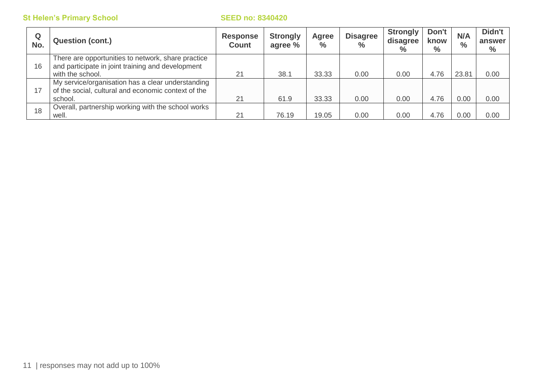| Q<br>No. | <b>Question (cont.)</b>                                                                                                     | <b>Response</b><br><b>Count</b> | <b>Strongly</b><br>agree % | Agree<br>$\frac{0}{0}$ | <b>Disagree</b><br>$\%$ | Strongly<br>disagree<br>$\%$ | Don't<br>know<br>$\%$ | N/A<br>$\frac{0}{0}$ | Didn't<br>answer<br>$\frac{0}{0}$ |
|----------|-----------------------------------------------------------------------------------------------------------------------------|---------------------------------|----------------------------|------------------------|-------------------------|------------------------------|-----------------------|----------------------|-----------------------------------|
| 16       | There are opportunities to network, share practice<br>and participate in joint training and development<br>with the school. | 21                              | 38.1                       | 33.33                  | 0.00                    | 0.00                         | 4.76                  | 23.81                | 0.00                              |
| 17       | My service/organisation has a clear understanding<br>of the social, cultural and economic context of the<br>school.         | 21                              | 61.9                       | 33.33                  | 0.00                    | 0.00                         | 4.76                  | 0.00                 | 0.00                              |
| 18       | Overall, partnership working with the school works<br>well.                                                                 | 21                              | 76.19                      | 19.05                  | 0.00                    | 0.00                         | 4.76                  | 0.00                 | 0.00                              |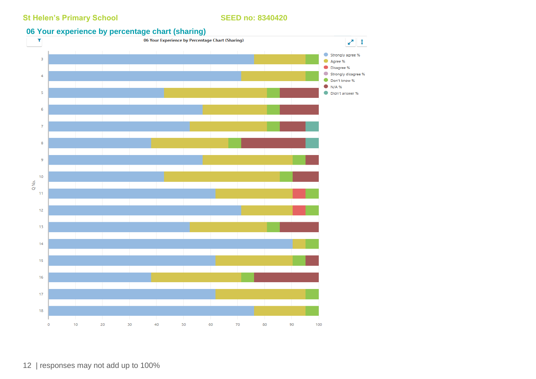### **06 Your experience by percentage chart (sharing)**

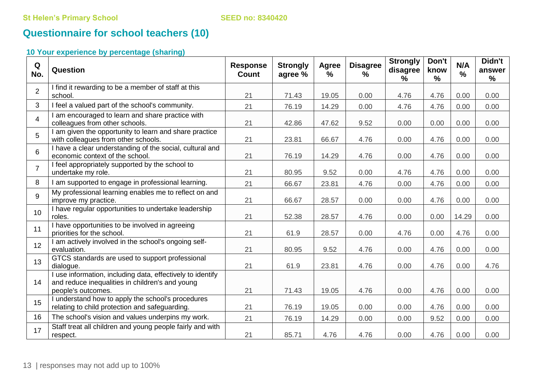# **Questionnaire for school teachers (10)**

# **10 Your experience by percentage (sharing)**

| Q<br>No.        | Question                                                                                                                            | <b>Response</b><br><b>Count</b> | <b>Strongly</b><br>agree % | Agree<br>$\frac{9}{6}$ | <b>Disagree</b><br>$\%$ | <b>Strongly</b><br>disagree<br>% | Don't<br>know<br>% | N/A<br>$\%$ | Didn't<br>answer<br>$\frac{1}{2}$ |
|-----------------|-------------------------------------------------------------------------------------------------------------------------------------|---------------------------------|----------------------------|------------------------|-------------------------|----------------------------------|--------------------|-------------|-----------------------------------|
| $\overline{2}$  | I find it rewarding to be a member of staff at this<br>school.                                                                      | 21                              | 71.43                      | 19.05                  | 0.00                    | 4.76                             | 4.76               | 0.00        | 0.00                              |
| $\mathbf{3}$    | I feel a valued part of the school's community.                                                                                     | 21                              | 76.19                      | 14.29                  | 0.00                    | 4.76                             | 4.76               | 0.00        | 0.00                              |
| $\overline{4}$  | I am encouraged to learn and share practice with<br>colleagues from other schools.                                                  | 21                              | 42.86                      | 47.62                  | 9.52                    | 0.00                             | 0.00               | 0.00        | 0.00                              |
| 5               | I am given the opportunity to learn and share practice<br>with colleagues from other schools.                                       | 21                              | 23.81                      | 66.67                  | 4.76                    | 0.00                             | 4.76               | 0.00        | 0.00                              |
| 6               | I have a clear understanding of the social, cultural and<br>economic context of the school.                                         | 21                              | 76.19                      | 14.29                  | 4.76                    | 0.00                             | 4.76               | 0.00        | 0.00                              |
| $\overline{7}$  | I feel appropriately supported by the school to<br>undertake my role.                                                               | 21                              | 80.95                      | 9.52                   | 0.00                    | 4.76                             | 4.76               | 0.00        | 0.00                              |
| 8               | I am supported to engage in professional learning.                                                                                  | 21                              | 66.67                      | 23.81                  | 4.76                    | 0.00                             | 4.76               | 0.00        | 0.00                              |
| 9               | My professional learning enables me to reflect on and<br>improve my practice.                                                       | 21                              | 66.67                      | 28.57                  | 0.00                    | 0.00                             | 4.76               | 0.00        | 0.00                              |
| 10 <sup>°</sup> | I have regular opportunities to undertake leadership<br>roles.                                                                      | 21                              | 52.38                      | 28.57                  | 4.76                    | 0.00                             | 0.00               | 14.29       | 0.00                              |
| 11              | I have opportunities to be involved in agreeing<br>priorities for the school.                                                       | 21                              | 61.9                       | 28.57                  | 0.00                    | 4.76                             | 0.00               | 4.76        | 0.00                              |
| 12              | I am actively involved in the school's ongoing self-<br>evaluation.                                                                 | 21                              | 80.95                      | 9.52                   | 4.76                    | 0.00                             | 4.76               | 0.00        | 0.00                              |
| 13              | GTCS standards are used to support professional<br>dialogue.                                                                        | 21                              | 61.9                       | 23.81                  | 4.76                    | 0.00                             | 4.76               | 0.00        | 4.76                              |
| 14              | I use information, including data, effectively to identify<br>and reduce inequalities in children's and young<br>people's outcomes. | 21                              | 71.43                      | 19.05                  | 4.76                    | 0.00                             | 4.76               | 0.00        | 0.00                              |
| 15              | I understand how to apply the school's procedures<br>relating to child protection and safeguarding.                                 | 21                              | 76.19                      | 19.05                  | 0.00                    | 0.00                             | 4.76               | 0.00        | 0.00                              |
| 16              | The school's vision and values underpins my work.                                                                                   | 21                              | 76.19                      | 14.29                  | 0.00                    | 0.00                             | 9.52               | 0.00        | 0.00                              |
| 17              | Staff treat all children and young people fairly and with<br>respect.                                                               | 21                              | 85.71                      | 4.76                   | 4.76                    | 0.00                             | 4.76               | 0.00        | 0.00                              |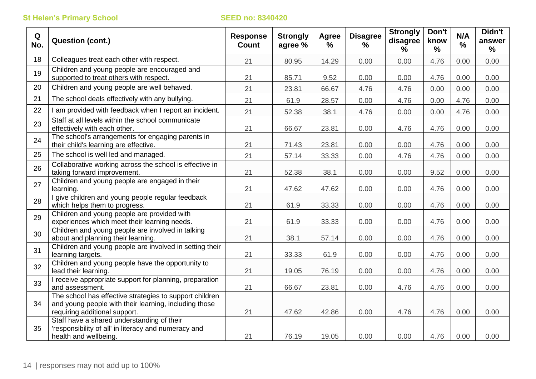| Q<br>No. | <b>Question (cont.)</b>                                                                                                                           | <b>Response</b><br><b>Count</b> | <b>Strongly</b><br>agree % | <b>Agree</b><br>$\frac{9}{6}$ | <b>Disagree</b><br>% | <b>Strongly</b><br>disagree<br>$\frac{9}{6}$ | Don't<br>know<br>$\frac{0}{0}$ | N/A<br>$\frac{1}{2}$ | Didn't<br>answer<br>$\frac{9}{6}$ |
|----------|---------------------------------------------------------------------------------------------------------------------------------------------------|---------------------------------|----------------------------|-------------------------------|----------------------|----------------------------------------------|--------------------------------|----------------------|-----------------------------------|
| 18       | Colleagues treat each other with respect.                                                                                                         | 21                              | 80.95                      | 14.29                         | 0.00                 | 0.00                                         | 4.76                           | 0.00                 | 0.00                              |
| 19       | Children and young people are encouraged and<br>supported to treat others with respect.                                                           | 21                              | 85.71                      | 9.52                          | 0.00                 | 0.00                                         | 4.76                           | 0.00                 | 0.00                              |
| 20       | Children and young people are well behaved.                                                                                                       | 21                              | 23.81                      | 66.67                         | 4.76                 | 4.76                                         | 0.00                           | 0.00                 | 0.00                              |
| 21       | The school deals effectively with any bullying.                                                                                                   | 21                              | 61.9                       | 28.57                         | 0.00                 | 4.76                                         | 0.00                           | 4.76                 | 0.00                              |
| 22       | I am provided with feedback when I report an incident.                                                                                            | 21                              | 52.38                      | 38.1                          | 4.76                 | 0.00                                         | 0.00                           | 4.76                 | 0.00                              |
| 23       | Staff at all levels within the school communicate<br>effectively with each other.                                                                 | 21                              | 66.67                      | 23.81                         | 0.00                 | 4.76                                         | 4.76                           | 0.00                 | 0.00                              |
| 24       | The school's arrangements for engaging parents in<br>their child's learning are effective.                                                        | 21                              | 71.43                      | 23.81                         | 0.00                 | 0.00                                         | 4.76                           | 0.00                 | 0.00                              |
| 25       | The school is well led and managed.                                                                                                               | 21                              | 57.14                      | 33.33                         | 0.00                 | 4.76                                         | 4.76                           | 0.00                 | 0.00                              |
| 26       | Collaborative working across the school is effective in<br>taking forward improvement.                                                            | 21                              | 52.38                      | 38.1                          | 0.00                 | 0.00                                         | 9.52                           | 0.00                 | 0.00                              |
| 27       | Children and young people are engaged in their<br>learning.                                                                                       | 21                              | 47.62                      | 47.62                         | 0.00                 | 0.00                                         | 4.76                           | 0.00                 | 0.00                              |
| 28       | I give children and young people regular feedback<br>which helps them to progress.                                                                | 21                              | 61.9                       | 33.33                         | 0.00                 | 0.00                                         | 4.76                           | 0.00                 | 0.00                              |
| 29       | Children and young people are provided with<br>experiences which meet their learning needs.                                                       | 21                              | 61.9                       | 33.33                         | 0.00                 | 0.00                                         | 4.76                           | 0.00                 | 0.00                              |
| 30       | Children and young people are involved in talking<br>about and planning their learning.                                                           | 21                              | 38.1                       | 57.14                         | 0.00                 | 0.00                                         | 4.76                           | 0.00                 | 0.00                              |
| 31       | Children and young people are involved in setting their<br>learning targets.                                                                      | 21                              | 33.33                      | 61.9                          | 0.00                 | 0.00                                         | 4.76                           | 0.00                 | 0.00                              |
| 32       | Children and young people have the opportunity to<br>lead their learning.                                                                         | 21                              | 19.05                      | 76.19                         | 0.00                 | 0.00                                         | 4.76                           | 0.00                 | 0.00                              |
| 33       | I receive appropriate support for planning, preparation<br>and assessment.                                                                        | 21                              | 66.67                      | 23.81                         | 0.00                 | 4.76                                         | 4.76                           | 0.00                 | 0.00                              |
| 34       | The school has effective strategies to support children<br>and young people with their learning, including those<br>requiring additional support. | 21                              | 47.62                      | 42.86                         | 0.00                 | 4.76                                         | 4.76                           | 0.00                 | 0.00                              |
| 35       | Staff have a shared understanding of their<br>'responsibility of all' in literacy and numeracy and<br>health and wellbeing.                       | 21                              | 76.19                      | 19.05                         | 0.00                 | 0.00                                         | 4.76                           | 0.00                 | 0.00                              |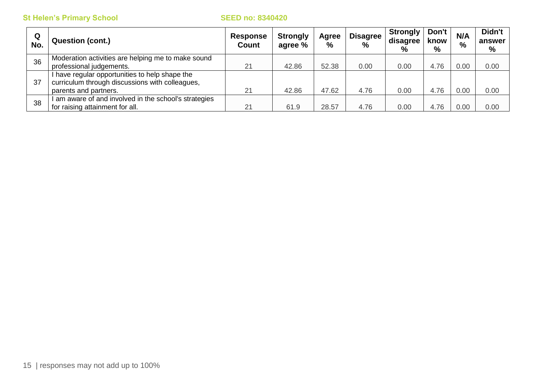| Q<br>No. | <b>Question (cont.)</b>                                                                                                    | <b>Response</b><br><b>Count</b> | <b>Strongly</b><br>agree % | Agree<br>$\%$ | <b>Disagree</b><br>$\frac{0}{0}$ | <b>Strongly</b><br>disagree<br>$\%$ | Don't<br>know<br>$\%$ | N/A<br>% | Didn't<br>answer<br>% |
|----------|----------------------------------------------------------------------------------------------------------------------------|---------------------------------|----------------------------|---------------|----------------------------------|-------------------------------------|-----------------------|----------|-----------------------|
| 36       | Moderation activities are helping me to make sound<br>professional judgements.                                             | 21                              | 42.86                      | 52.38         | 0.00                             | 0.00                                | 4.76                  | 0.00     | 0.00                  |
| 37       | I have regular opportunities to help shape the<br>curriculum through discussions with colleagues,<br>parents and partners. | 21                              | 42.86                      | 47.62         | 4.76                             | 0.00                                | 4.76                  | 0.00     | 0.00                  |
| 38       | am aware of and involved in the school's strategies<br>for raising attainment for all.                                     | 21                              | 61.9                       | 28.57         | 4.76                             | 0.00                                | 4.76                  | 0.00     | 0.00                  |